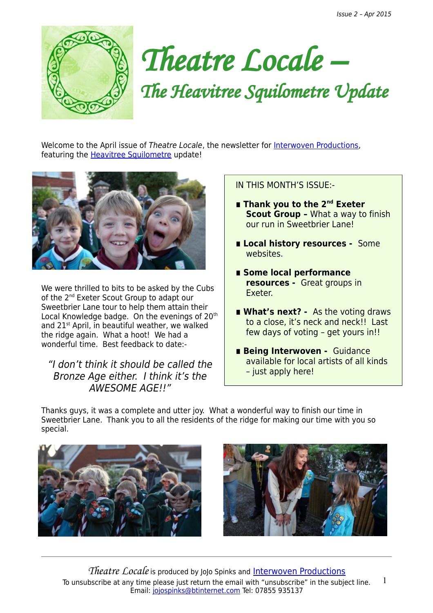



Welcome to the April issue of Theatre Locale, the newsletter for [Interwoven Productions,](http://interwovenproductions.weebly.com/nominate-a-street.html) featuring the [Heavitree Squilometre](http://interwovenproductions.weebly.com/the-heavitree-squilometre.html) update!



We were thrilled to bits to be asked by the Cubs of the 2<sup>nd</sup> Exeter Scout Group to adapt our Sweetbrier Lane tour to help them attain their Local Knowledge badge. On the evenings of 20<sup>th</sup> and 21<sup>st</sup> April, in beautiful weather, we walked the ridge again. What a hoot! We had a wonderful time. Best feedback to date:-

## "I don't think it should be called the Bronze Age either. I think it's the AWESOME AGEII"

IN THIS MONTH'S ISSUE:-

- Thank you to the 2<sup>nd</sup> Exeter **Scout Group –** What a way to finish our run in Sweetbrier Lane!
- Local history resources Some websites.
- **∎ Some local performance resources -** Great groups in Exeter.
- What's next? As the voting draws to a close, it's neck and neck!! Last few days of voting – get yours in!!
- Being Interwoven Guidance available for local artists of all kinds – just apply here!

Thanks guys, it was a complete and utter joy. What a wonderful way to finish our time in Sweetbrier Lane. Thank you to all the residents of the ridge for making our time with you so special.





*Theatre Locale* is produced by JoJo Spinks and [Interwoven Productions](http://www.interwovenproductions.weebly.com/) To unsubscribe at any time please just return the email with "unsubscribe" in the subject line. Email: [jojospinks@btinternet.com](mailto:jojospinks@btinternet.com) Tel: 07855 935137 1